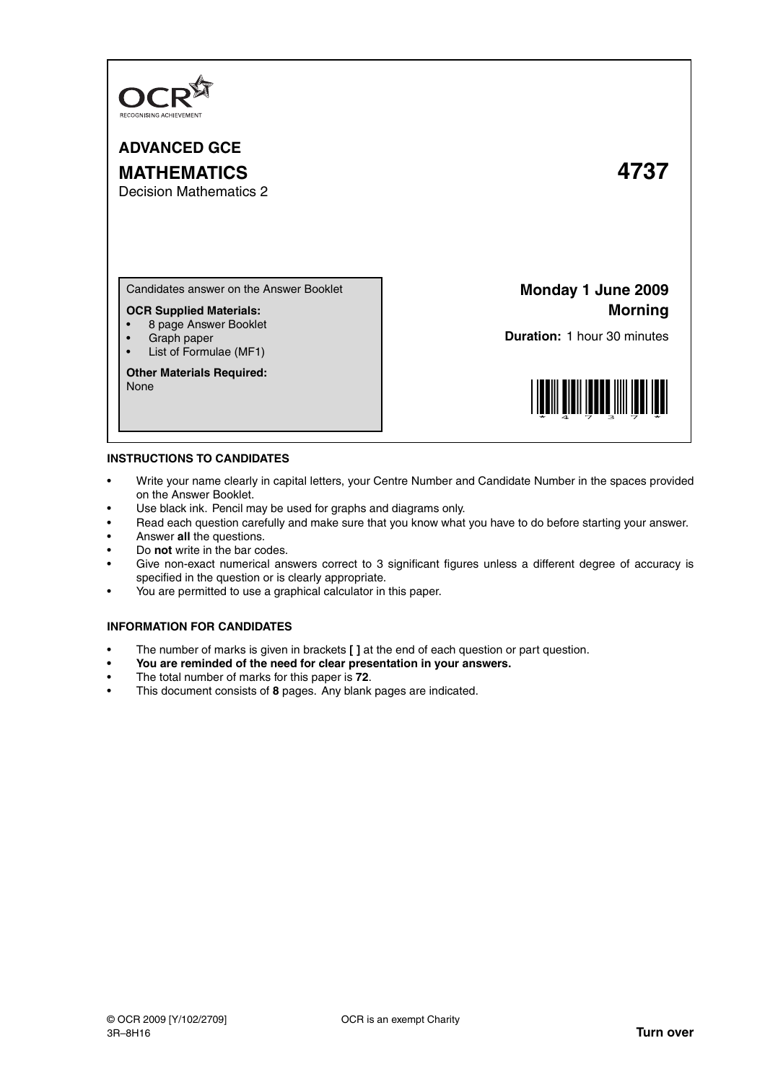

**ADVANCED GCE MATHEMATICS 4737**

Decision Mathematics 2

Candidates answer on the Answer Booklet

**OCR Supplied Materials:**

- 8 page Answer Booklet
- Graph paper
- List of Formulae (MF1)

**Other Materials Required:** None

**Monday 1 June 2009 Morning**

**Duration:** 1 hour 30 minutes



### **INSTRUCTIONS TO CANDIDATES**

- Write your name clearly in capital letters, your Centre Number and Candidate Number in the spaces provided on the Answer Booklet.
- Use black ink. Pencil may be used for graphs and diagrams only.
- Read each question carefully and make sure that you know what you have to do before starting your answer.
- Answer **all** the questions.
- Do **not** write in the bar codes.
- Give non-exact numerical answers correct to 3 significant figures unless a different degree of accuracy is specified in the question or is clearly appropriate.
- You are permitted to use a graphical calculator in this paper.

## **INFORMATION FOR CANDIDATES**

- The number of marks is given in brackets **[ ]** at the end of each question or part question.
- **You are reminded of the need for clear presentation in your answers.**
- The total number of marks for this paper is **72**.
- This document consists of **8** pages. Any blank pages are indicated.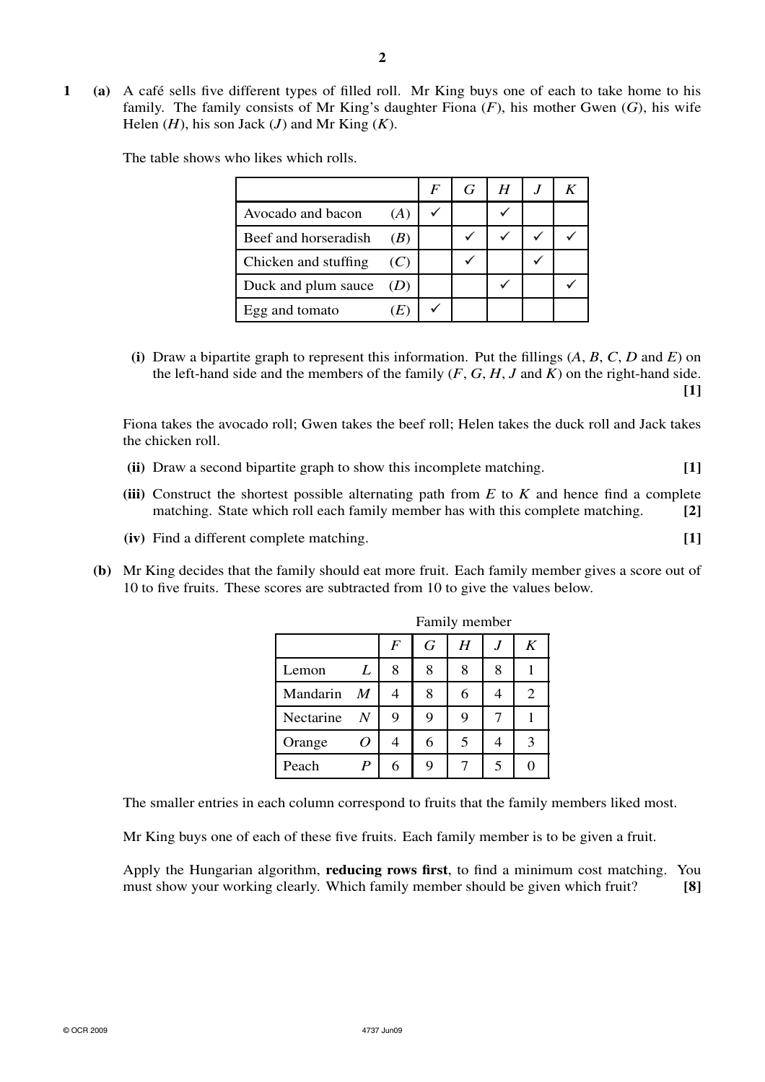**1** (a) A café sells five different types of filled roll. Mr King buys one of each to take home to his family. The family consists of Mr King's daughter Fiona (*F*), his mother Gwen (*G*), his wife Helen  $(H)$ , his son Jack  $(J)$  and Mr King  $(K)$ .

The table shows who likes which rolls.

|                      |     | F | H |  |
|----------------------|-----|---|---|--|
| Avocado and bacon    | (A) |   |   |  |
| Beef and horseradish | B)  |   |   |  |
| Chicken and stuffing | (C) |   |   |  |
| Duck and plum sauce  | (D) |   |   |  |
| Egg and tomato       |     |   |   |  |

**(i)** Draw a bipartite graph to represent this information. Put the fillings (*A*, *B*, *C*, *D* and *E*) on the left-hand side and the members of the family  $(F, G, H, J \text{ and } K)$  on the right-hand side. **[1]**

Fiona takes the avocado roll; Gwen takes the beef roll; Helen takes the duck roll and Jack takes the chicken roll.

- **(ii)** Draw a second bipartite graph to show this incomplete matching. **[1]**
- **(iii)** Construct the shortest possible alternating path from *E* to *K* and hence find a complete matching. State which roll each family member has with this complete matching. **[2]**
- **(iv)** Find a different complete matching. **[1]**
- **(b)** Mr King decides that the family should eat more fruit. Each family member gives a score out of 10 to five fruits. These scores are subtracted from 10 to give the values below.

|           |                  | Talliny Inchinei |   |   |                  |   |
|-----------|------------------|------------------|---|---|------------------|---|
|           |                  | F                | G | H | $\boldsymbol{J}$ | K |
| Lemon     | L                | 8                | 8 | 8 | 8                |   |
| Mandarin  | $\boldsymbol{M}$ | 4                | 8 | 6 | 4                | 2 |
| Nectarine | $\overline{N}$   | 9                | 9 | 9 |                  |   |
| Orange    | Ω                | 4                | 6 | 5 | 4                | 3 |
| Peach     | $\boldsymbol{P}$ | 6                |   |   | 5                |   |

Family member

The smaller entries in each column correspond to fruits that the family members liked most.

Mr King buys one of each of these five fruits. Each family member is to be given a fruit.

Apply the Hungarian algorithm, **reducing rows first**, to find a minimum cost matching. You must show your working clearly. Which family member should be given which fruit? **[8]**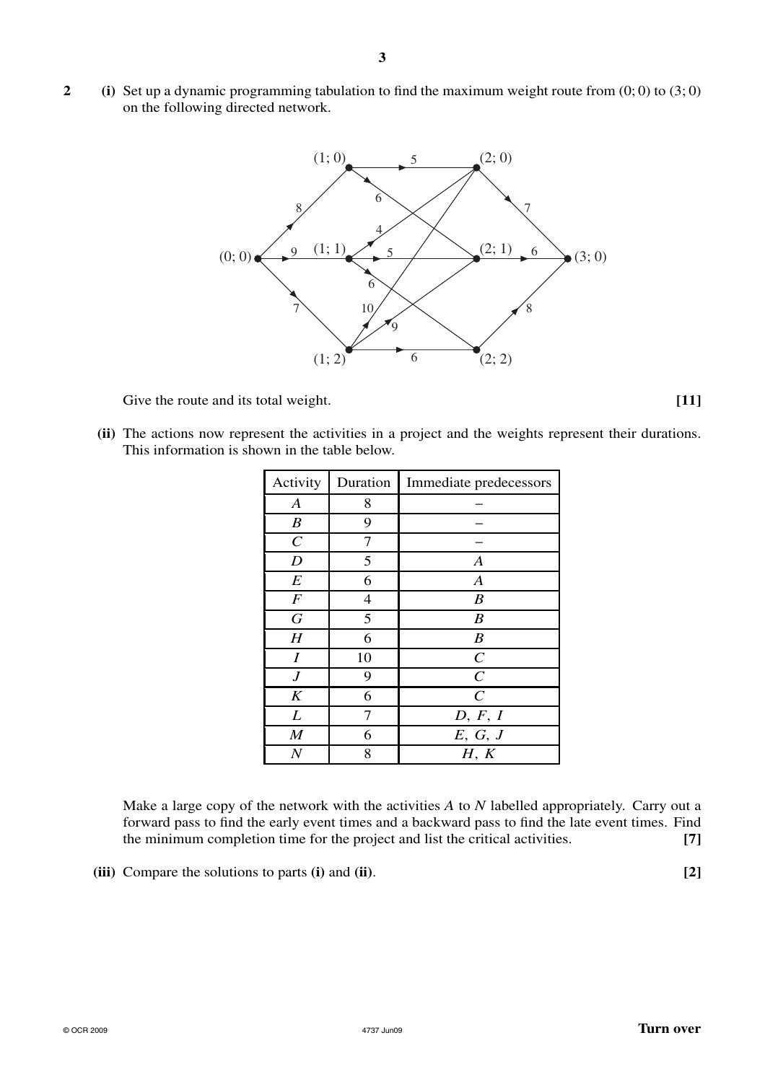**2 (i)** Set up a dynamic programming tabulation to find the maximum weight route from (0; 0) to (3; 0) on the following directed network.



Give the route and its total weight. **[11]** 

**(ii)** The actions now represent the activities in a project and the weights represent their durations. This information is shown in the table below.

| Activity         | Duration | Immediate predecessors  |  |  |
|------------------|----------|-------------------------|--|--|
| $\boldsymbol{A}$ | 8        |                         |  |  |
| $\boldsymbol{B}$ | 9        |                         |  |  |
| $\mathcal{C}$    | 7        |                         |  |  |
| $\boldsymbol{D}$ | 5        | $\boldsymbol{A}$        |  |  |
| $\boldsymbol{E}$ | 6        | $\boldsymbol{A}$        |  |  |
| $\boldsymbol{F}$ | 4        | B                       |  |  |
| $\boldsymbol{G}$ | 5        | B                       |  |  |
| H                | 6        | $\boldsymbol{B}$        |  |  |
| I                | 10       | $\mathcal{C}_{0}^{(n)}$ |  |  |
| $\boldsymbol{J}$ | 9        | $\mathcal{C}_{0}^{0}$   |  |  |
| K                | 6        | $\overline{C}$          |  |  |
| L                | 7        | D, F, I                 |  |  |
| $\boldsymbol{M}$ | 6        | E, G, J                 |  |  |
| N                | 8        | H, K                    |  |  |

Make a large copy of the network with the activities *A* to *N* labelled appropriately. Carry out a forward pass to find the early event times and a backward pass to find the late event times. Find the minimum completion time for the project and list the critical activities. **[7]**

**(iii)** Compare the solutions to parts **(i)** and **(ii)**. **[2]**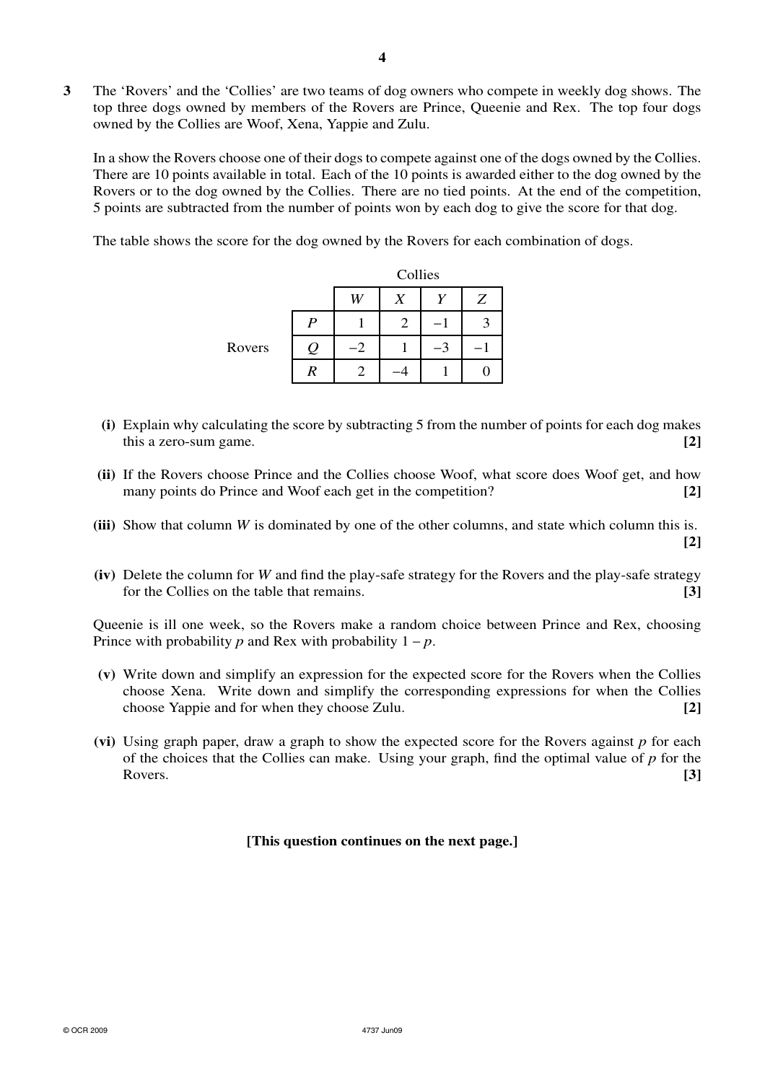**3** The 'Rovers' and the 'Collies' are two teams of dog owners who compete in weekly dog shows. The top three dogs owned by members of the Rovers are Prince, Queenie and Rex. The top four dogs owned by the Collies are Woof, Xena, Yappie and Zulu.

In a show the Rovers choose one of their dogs to compete against one of the dogs owned by the Collies. There are 10 points available in total. Each of the 10 points is awarded either to the dog owned by the Rovers or to the dog owned by the Collies. There are no tied points. At the end of the competition, 5 points are subtracted from the number of points won by each dog to give the score for that dog.

The table shows the score for the dog owned by the Rovers for each combination of dogs.

|        |                  | Collies |                  |   |   |  |  |
|--------|------------------|---------|------------------|---|---|--|--|
|        |                  | W       | $\boldsymbol{X}$ | Y | Z |  |  |
|        | $\boldsymbol{P}$ |         | 2                |   |   |  |  |
| Rovers | $\varrho$        |         |                  |   |   |  |  |
|        | R                | 2       |                  |   |   |  |  |

- **(i)** Explain why calculating the score by subtracting 5 from the number of points for each dog makes this a zero-sum game. **[2]**
- **(ii)** If the Rovers choose Prince and the Collies choose Woof, what score does Woof get, and how many points do Prince and Woof each get in the competition? **[2]**
- **(iii)** Show that column *W* is dominated by one of the other columns, and state which column this is. **[2]**
- **(iv)** Delete the column for *W* and find the play-safe strategy for the Rovers and the play-safe strategy for the Collies on the table that remains. **[3]**

Queenie is ill one week, so the Rovers make a random choice between Prince and Rex, choosing Prince with probability *p* and Rex with probability  $1 - p$ .

- **(v)** Write down and simplify an expression for the expected score for the Rovers when the Collies choose Xena. Write down and simplify the corresponding expressions for when the Collies choose Yappie and for when they choose Zulu. **[2]**
- **(vi)** Using graph paper, draw a graph to show the expected score for the Rovers against *p* for each of the choices that the Collies can make. Using your graph, find the optimal value of *p* for the Rovers. **[3]**

## **[This question continues on the next page.]**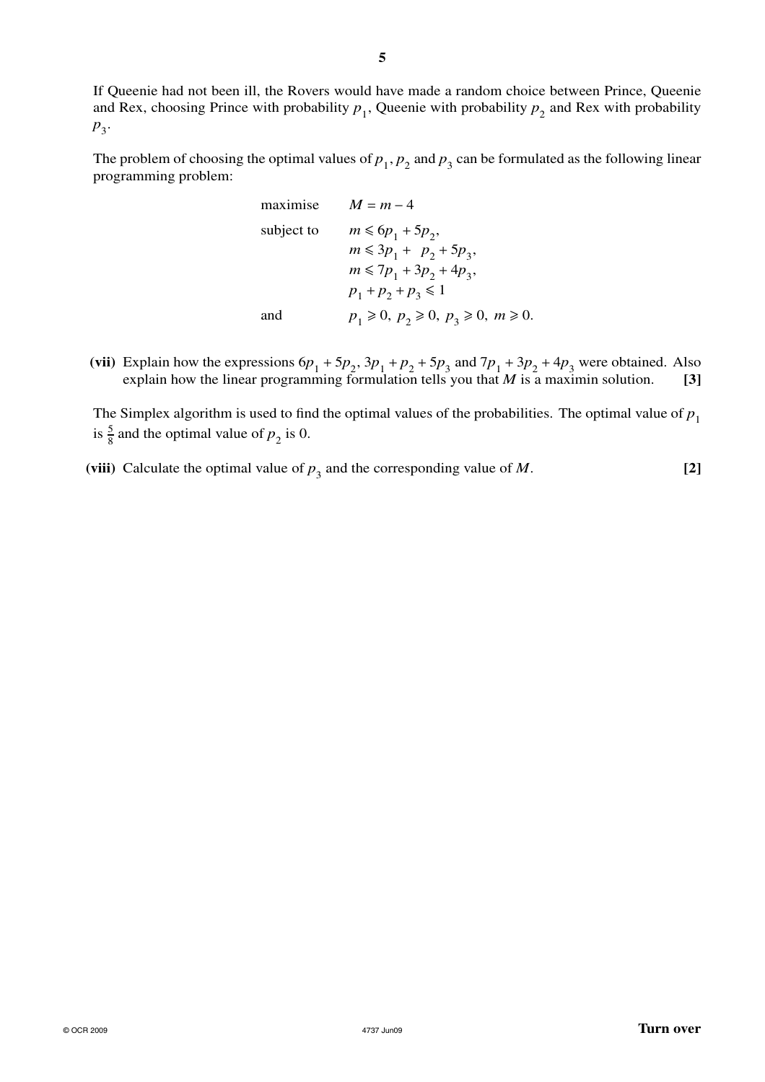**5**

If Queenie had not been ill, the Rovers would have made a random choice between Prince, Queenie and Rex, choosing Prince with probability  $p_1$ , Queenie with probability  $p_2$  and Rex with probability *p*<sub>3</sub>.

The problem of choosing the optimal values of  $p_1$ ,  $p_2$  and  $p_3$  can be formulated as the following linear programming problem:

maximise 
$$
M = m - 4
$$
  
\nsubject to  $m \le 6p_1 + 5p_2$ ,  
\n $m \le 3p_1 + p_2 + 5p_3$ ,  
\n $m \le 7p_1 + 3p_2 + 4p_3$ ,  
\n $p_1 + p_2 + p_3 \le 1$   
\nand  $p_1 \ge 0, p_2 \ge 0, p_3 \ge 0, m \ge 0$ .

(vii) Explain how the expressions  $6p_1 + 5p_2$ ,  $3p_1 + p_2 + 5p_3$  and  $7p_1 + 3p_2 + 4p_3$  were obtained. Also explain how the linear programming formulation tells you that *M* is a maximin solution. **[3]**

The Simplex algorithm is used to find the optimal values of the probabilities. The optimal value of  $p_1$ is  $\frac{5}{8}$  and the optimal value of  $p_2$  is 0.

(viii) Calculate the optimal value of  $p_3$  and the corresponding value of *M*. [2]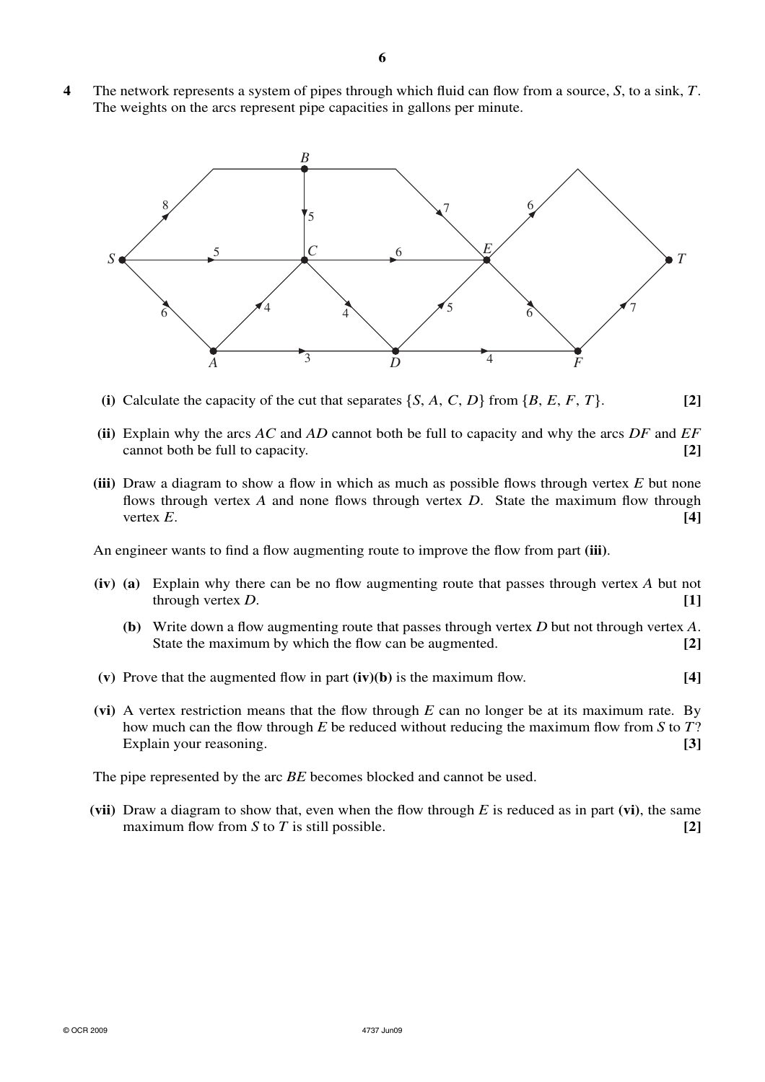

- **(i)** Calculate the capacity of the cut that separates  $\{S, A, C, D\}$  from  $\{B, E, F, T\}$ . [2]
- **(ii)** Explain why the arcs *AC* and *AD* cannot both be full to capacity and why the arcs *DF* and *EF* cannot both be full to capacity. **[2]**
- **(iii)** Draw a diagram to show a flow in which as much as possible flows through vertex *E* but none flows through vertex *A* and none flows through vertex *D*. State the maximum flow through vertex  $E$ .  $[4]$

An engineer wants to find a flow augmenting route to improve the flow from part **(iii)**.

- **(iv) (a)** Explain why there can be no flow augmenting route that passes through vertex *A* but not through vertex *D*. **[1]**
	- **(b)** Write down a flow augmenting route that passes through vertex *D* but not through vertex *A*. State the maximum by which the flow can be augmented. **[2]**
- **(v)** Prove that the augmented flow in part **(iv)(b)** is the maximum flow. **[4]**
- **(vi)** A vertex restriction means that the flow through *E* can no longer be at its maximum rate. By how much can the flow through *E* be reduced without reducing the maximum flow from *S* to *T*? Explain your reasoning. **[3] [3]**

The pipe represented by the arc *BE* becomes blocked and cannot be used.

**(vii)** Draw a diagram to show that, even when the flow through *E* is reduced as in part **(vi)**, the same maximum flow from  $S$  to  $T$  is still possible.  $\begin{bmatrix} 2 \end{bmatrix}$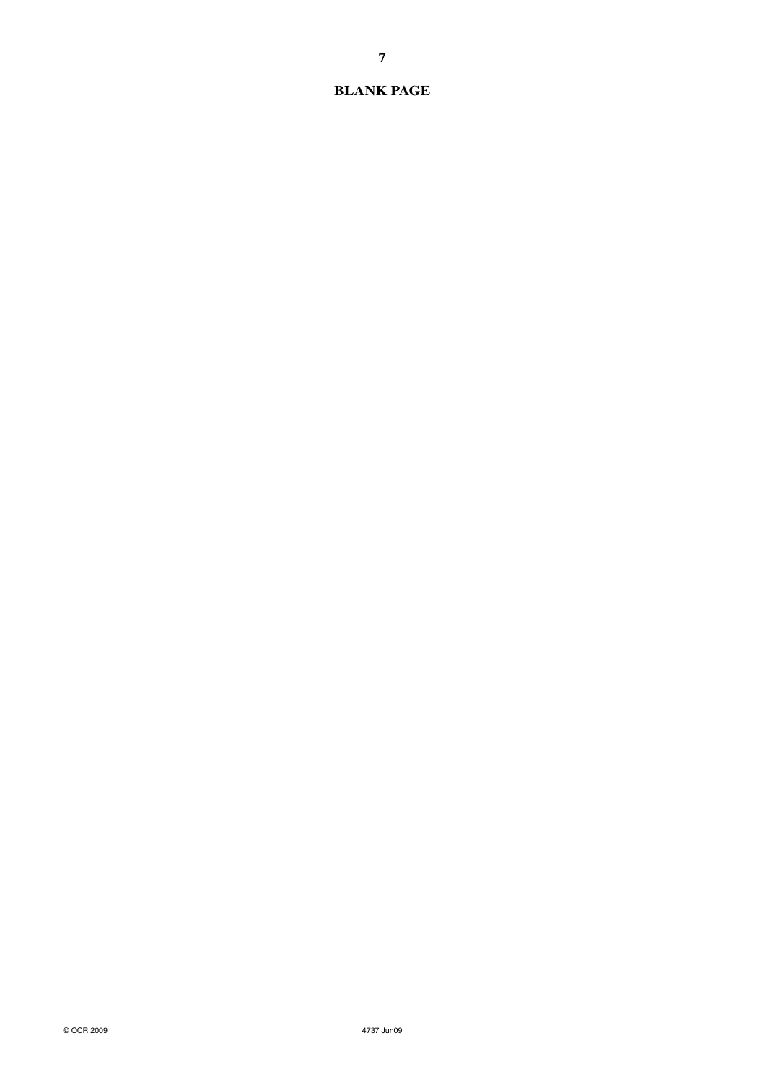# **BLANK PAGE**